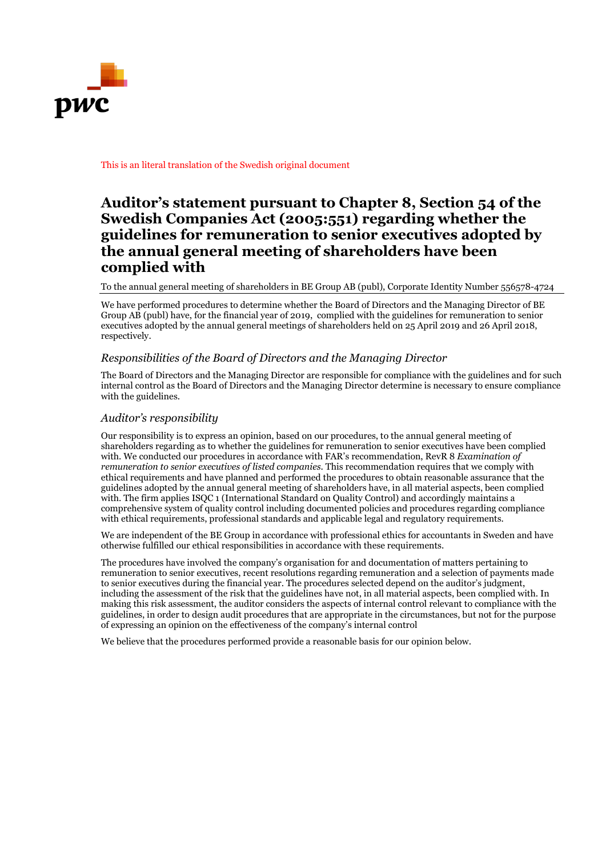

This is an literal translation of the Swedish original document

## **Auditor's statement pursuant to Chapter 8, Section 54 of the Swedish Companies Act (2005:551) regarding whether the guidelines for remuneration to senior executives adopted by the annual general meeting of shareholders have been complied with**

To the annual general meeting of shareholders in BE Group AB (publ), Corporate Identity Number 556578-4724

We have performed procedures to determine whether the Board of Directors and the Managing Director of BE Group AB (publ) have, for the financial year of 2019, complied with the guidelines for remuneration to senior executives adopted by the annual general meetings of shareholders held on 25 April 2019 and 26 April 2018, respectively.

## *Responsibilities of the Board of Directors and the Managing Director*

The Board of Directors and the Managing Director are responsible for compliance with the guidelines and for such internal control as the Board of Directors and the Managing Director determine is necessary to ensure compliance with the guidelines.

## *Auditor's responsibility*

Our responsibility is to express an opinion, based on our procedures, to the annual general meeting of shareholders regarding as to whether the guidelines for remuneration to senior executives have been complied with. We conducted our procedures in accordance with FAR's recommendation, RevR 8 *Examination of remuneration to senior executives of listed companies*. This recommendation requires that we comply with ethical requirements and have planned and performed the procedures to obtain reasonable assurance that the guidelines adopted by the annual general meeting of shareholders have, in all material aspects, been complied with. The firm applies ISQC 1 (International Standard on Quality Control) and accordingly maintains a comprehensive system of quality control including documented policies and procedures regarding compliance with ethical requirements, professional standards and applicable legal and regulatory requirements.

We are independent of the BE Group in accordance with professional ethics for accountants in Sweden and have otherwise fulfilled our ethical responsibilities in accordance with these requirements.

The procedures have involved the company's organisation for and documentation of matters pertaining to remuneration to senior executives, recent resolutions regarding remuneration and a selection of payments made to senior executives during the financial year. The procedures selected depend on the auditor's judgment, including the assessment of the risk that the guidelines have not, in all material aspects, been complied with. In making this risk assessment, the auditor considers the aspects of internal control relevant to compliance with the guidelines, in order to design audit procedures that are appropriate in the circumstances, but not for the purpose of expressing an opinion on the effectiveness of the company's internal control

We believe that the procedures performed provide a reasonable basis for our opinion below.